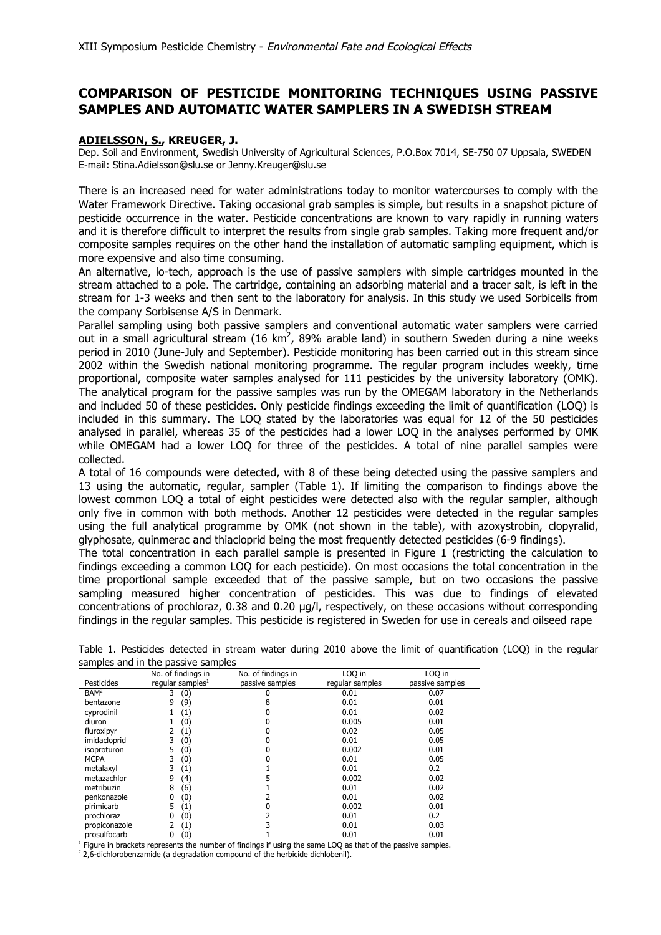## **COMPARISON OF PESTICIDE MONITORING TECHNIQUES USING PASSIVE SAMPLES AND AUTOMATIC WATER SAMPLERS IN A SWEDISH STREAM**

## **ADIELSSON, S., KREUGER, J.**

Dep. Soil and Environment, Swedish University of Agricultural Sciences, P.O.Box 7014, SE-750 07 Uppsala, SWEDEN E-mail: Stina.Adielsson@slu.se or Jenny.Kreuger@slu.se

There is an increased need for water administrations today to monitor watercourses to comply with the Water Framework Directive. Taking occasional grab samples is simple, but results in a snapshot picture of pesticide occurrence in the water. Pesticide concentrations are known to vary rapidly in running waters and it is therefore difficult to interpret the results from single grab samples. Taking more frequent and/or composite samples requires on the other hand the installation of automatic sampling equipment, which is more expensive and also time consuming.

An alternative, lo-tech, approach is the use of passive samplers with simple cartridges mounted in the stream attached to a pole. The cartridge, containing an adsorbing material and a tracer salt, is left in the stream for 1-3 weeks and then sent to the laboratory for analysis. In this study we used Sorbicells from the company Sorbisense A/S in Denmark.

Parallel sampling using both passive samplers and conventional automatic water samplers were carried out in a small agricultural stream (16 km<sup>2</sup>, 89% arable land) in southern Sweden during a nine weeks period in 2010 (June-July and September). Pesticide monitoring has been carried out in this stream since 2002 within the Swedish national monitoring programme. The regular program includes weekly, time proportional, composite water samples analysed for 111 pesticides by the university laboratory (OMK). The analytical program for the passive samples was run by the OMEGAM laboratory in the Netherlands and included 50 of these pesticides. Only pesticide findings exceeding the limit of quantification (LOQ) is included in this summary. The LOQ stated by the laboratories was equal for 12 of the 50 pesticides analysed in parallel, whereas 35 of the pesticides had a lower LOQ in the analyses performed by OMK while OMEGAM had a lower LOO for three of the pesticides. A total of nine parallel samples were collected.

A total of 16 compounds were detected, with 8 of these being detected using the passive samplers and 13 using the automatic, regular, sampler (Table 1). If limiting the comparison to findings above the lowest common LOQ a total of eight pesticides were detected also with the regular sampler, although only five in common with both methods. Another 12 pesticides were detected in the regular samples using the full analytical programme by OMK (not shown in the table), with azoxystrobin, clopyralid, glyphosate, quinmerac and thiacloprid being the most frequently detected pesticides (6-9 findings).

The total concentration in each parallel sample is presented in Figure 1 (restricting the calculation to findings exceeding a common LOQ for each pesticide). On most occasions the total concentration in the time proportional sample exceeded that of the passive sample, but on two occasions the passive sampling measured higher concentration of pesticides. This was due to findings of elevated concentrations of prochloraz,  $0.38$  and  $0.20$   $\mu$ g/l, respectively, on these occasions without corresponding findings in the regular samples. This pesticide is registered in Sweden for use in cereals and oilseed rape

|                  | No. of findings in  | No. of findings in | LOQ in          | LOQ in          |
|------------------|---------------------|--------------------|-----------------|-----------------|
| Pesticides       | regular samples $1$ | passive samples    | regular samples | passive samples |
| BAM <sup>2</sup> | (0)<br>3            |                    | 0.01            | 0.07            |
| bentazone        | (9)<br>9            | 8                  | 0.01            | 0.01            |
| cyprodinil       | (1)                 |                    | 0.01            | 0.02            |
| diuron           | (0)                 |                    | 0.005           | 0.01            |
| fluroxipyr       | (1)                 |                    | 0.02            | 0.05            |
| imidacloprid     | (0)<br>3            |                    | 0.01            | 0.05            |
| isoproturon      | (0)<br>5            |                    | 0.002           | 0.01            |
| <b>MCPA</b>      | (0)<br>3            |                    | 0.01            | 0.05            |
| metalaxyl        | (1)<br>3            |                    | 0.01            | 0.2             |
| metazachlor      | (4)<br>9            |                    | 0.002           | 0.02            |
| metribuzin       | (6)<br>8            |                    | 0.01            | 0.02            |
| penkonazole      | (0)<br>0            |                    | 0.01            | 0.02            |
| pirimicarb       | (1)<br>5            |                    | 0.002           | 0.01            |
| prochloraz       | (0)<br>0            |                    | 0.01            | 0.2             |
| propiconazole    | (1)                 |                    | 0.01            | 0.03            |
| prosulfocarb     | (0)<br>0            |                    | 0.01            | 0.01            |

Table 1. Pesticides detected in stream water during 2010 above the limit of quantification (LOQ) in the regular samples and in the passive samples

 $\frac{1}{1}$  Figure in brackets represents the number of findings if using the same LOQ as that of the passive samples.

<sup>2</sup> 2,6-dichlorobenzamide (a degradation compound of the herbicide dichlobenil).